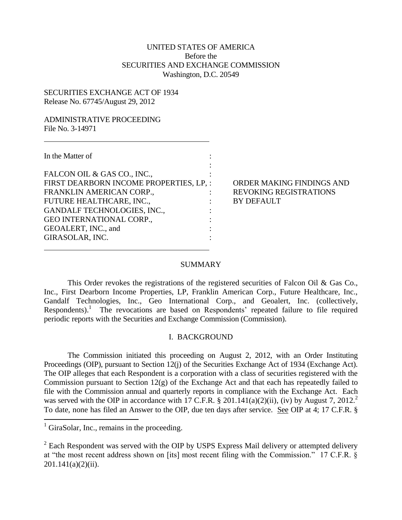# UNITED STATES OF AMERICA Before the SECURITIES AND EXCHANGE COMMISSION Washington, D.C. 20549

:

## SECURITIES EXCHANGE ACT OF 1934 Release No. 67745/August 29, 2012

## ADMINISTRATIVE PROCEEDING File No. 3-14971

In the Matter of :

| FALCON OIL & GAS CO., INC.,             |  |
|-----------------------------------------|--|
| FIRST DEARBORN INCOME PROPERTIES, LP, : |  |
| FRANKLIN AMERICAN CORP.,                |  |
| FUTURE HEALTHCARE, INC.,                |  |
| GANDALF TECHNOLOGIES, INC.,             |  |
| GEO INTERNATIONAL CORP.,                |  |
| GEOALERT, INC., and                     |  |
| GIRASOLAR, INC.                         |  |
|                                         |  |

# ORDER MAKING FINDINGS AND REVOKING REGISTRATIONS BY DEFAULT

## SUMMARY

This Order revokes the registrations of the registered securities of Falcon Oil & Gas Co., Inc., First Dearborn Income Properties, LP, Franklin American Corp., Future Healthcare, Inc., Gandalf Technologies, Inc., Geo International Corp., and Geoalert, Inc. (collectively, Respondents).<sup>1</sup> The revocations are based on Respondents' repeated failure to file required periodic reports with the Securities and Exchange Commission (Commission).

## I. BACKGROUND

The Commission initiated this proceeding on August 2, 2012, with an Order Instituting Proceedings (OIP), pursuant to Section 12(j) of the Securities Exchange Act of 1934 (Exchange Act). The OIP alleges that each Respondent is a corporation with a class of securities registered with the Commission pursuant to Section 12(g) of the Exchange Act and that each has repeatedly failed to file with the Commission annual and quarterly reports in compliance with the Exchange Act. Each was served with the OIP in accordance with 17 C.F.R.  $\S 201.141(a)(2)(ii)$ , (iv) by August 7, 2012.<sup>2</sup> To date, none has filed an Answer to the OIP, due ten days after service. See OIP at 4; 17 C.F.R. §

 $\overline{a}$ 

 $<sup>1</sup>$  GiraSolar, Inc., remains in the proceeding.</sup>

 $2^{2}$  Each Respondent was served with the OIP by USPS Express Mail delivery or attempted delivery at "the most recent address shown on [its] most recent filing with the Commission." 17 C.F.R. § 201.141(a)(2)(ii).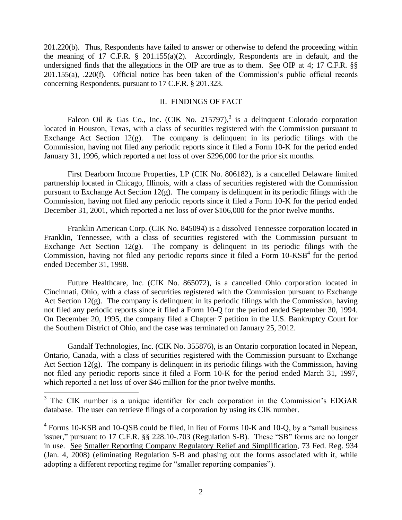201.220(b). Thus, Respondents have failed to answer or otherwise to defend the proceeding within the meaning of 17 C.F.R. § 201.155(a)(2). Accordingly, Respondents are in default, and the undersigned finds that the allegations in the OIP are true as to them. See OIP at 4; 17 C.F.R. §§ 201.155(a), .220(f). Official notice has been taken of the Commission's public official records concerning Respondents, pursuant to 17 C.F.R. § 201.323.

#### II. FINDINGS OF FACT

Falcon Oil & Gas Co., Inc. (CIK No. 215797),<sup>3</sup> is a delinquent Colorado corporation located in Houston, Texas, with a class of securities registered with the Commission pursuant to Exchange Act Section  $12(g)$ . The company is delinquent in its periodic filings with the Commission, having not filed any periodic reports since it filed a Form 10-K for the period ended January 31, 1996, which reported a net loss of over \$296,000 for the prior six months.

First Dearborn Income Properties, LP (CIK No. 806182), is a cancelled Delaware limited partnership located in Chicago, Illinois, with a class of securities registered with the Commission pursuant to Exchange Act Section 12(g). The company is delinquent in its periodic filings with the Commission, having not filed any periodic reports since it filed a Form 10-K for the period ended December 31, 2001, which reported a net loss of over \$106,000 for the prior twelve months.

Franklin American Corp. (CIK No. 845094) is a dissolved Tennessee corporation located in Franklin, Tennessee, with a class of securities registered with the Commission pursuant to Exchange Act Section  $12(g)$ . The company is delinquent in its periodic filings with the Commission, having not filed any periodic reports since it filed a Form  $10\text{-KSB}^4$  for the period ended December 31, 1998.

Future Healthcare, Inc. (CIK No. 865072), is a cancelled Ohio corporation located in Cincinnati, Ohio, with a class of securities registered with the Commission pursuant to Exchange Act Section  $12(g)$ . The company is delinquent in its periodic filings with the Commission, having not filed any periodic reports since it filed a Form 10-Q for the period ended September 30, 1994. On December 20, 1995, the company filed a Chapter 7 petition in the U.S. Bankruptcy Court for the Southern District of Ohio, and the case was terminated on January 25, 2012.

Gandalf Technologies, Inc. (CIK No. 355876), is an Ontario corporation located in Nepean, Ontario, Canada, with a class of securities registered with the Commission pursuant to Exchange Act Section 12(g). The company is delinquent in its periodic filings with the Commission, having not filed any periodic reports since it filed a Form 10-K for the period ended March 31, 1997, which reported a net loss of over \$46 million for the prior twelve months.

 $\overline{a}$ 

<sup>&</sup>lt;sup>3</sup> The CIK number is a unique identifier for each corporation in the Commission's EDGAR database. The user can retrieve filings of a corporation by using its CIK number.

 $4$  Forms 10-KSB and 10-QSB could be filed, in lieu of Forms 10-K and 10-Q, by a "small business" issuer," pursuant to 17 C.F.R. §§ 228.10-.703 (Regulation S-B). These "SB" forms are no longer in use. See Smaller Reporting Company Regulatory Relief and Simplification, 73 Fed. Reg. 934 (Jan. 4, 2008) (eliminating Regulation S-B and phasing out the forms associated with it, while adopting a different reporting regime for "smaller reporting companies").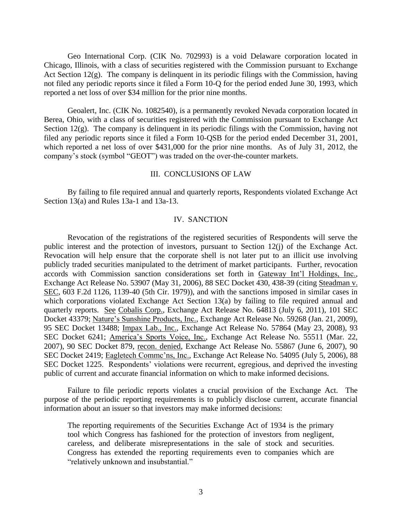Geo International Corp. (CIK No. 702993) is a void Delaware corporation located in Chicago, Illinois, with a class of securities registered with the Commission pursuant to Exchange Act Section 12(g). The company is delinquent in its periodic filings with the Commission, having not filed any periodic reports since it filed a Form 10-Q for the period ended June 30, 1993, which reported a net loss of over \$34 million for the prior nine months.

Geoalert, Inc. (CIK No. 1082540), is a permanently revoked Nevada corporation located in Berea, Ohio, with a class of securities registered with the Commission pursuant to Exchange Act Section  $12(g)$ . The company is delinquent in its periodic filings with the Commission, having not filed any periodic reports since it filed a Form 10-QSB for the period ended December 31, 2001, which reported a net loss of over \$431,000 for the prior nine months. As of July 31, 2012, the company's stock (symbol "GEOT") was traded on the over-the-counter markets.

#### III. CONCLUSIONS OF LAW

By failing to file required annual and quarterly reports, Respondents violated Exchange Act Section 13(a) and Rules 13a-1 and 13a-13.

#### IV. SANCTION

Revocation of the registrations of the registered securities of Respondents will serve the public interest and the protection of investors, pursuant to Section 12(j) of the Exchange Act. Revocation will help ensure that the corporate shell is not later put to an illicit use involving publicly traded securities manipulated to the detriment of market participants. Further, revocation accords with Commission sanction considerations set forth in Gateway Int'l Holdings, Inc., Exchange Act Release No. 53907 (May 31, 2006), 88 SEC Docket 430, 438-39 (citing Steadman v. SEC, 603 F.2d 1126, 1139-40 (5th Cir. 1979)), and with the sanctions imposed in similar cases in which corporations violated Exchange Act Section 13(a) by failing to file required annual and quarterly reports. See Cobalis Corp., Exchange Act Release No. 64813 (July 6, 2011), 101 SEC Docket 43379; Nature's Sunshine Products, Inc., Exchange Act Release No. 59268 (Jan. 21, 2009), 95 SEC Docket 13488; Impax Lab., Inc., Exchange Act Release No. 57864 (May 23, 2008), 93 SEC Docket 6241; America's Sports Voice, Inc., Exchange Act Release No. 55511 (Mar. 22, 2007), 90 SEC Docket 879, recon. denied, Exchange Act Release No. 55867 (June 6, 2007), 90 SEC Docket 2419; Eagletech Commc'ns, Inc., Exchange Act Release No. 54095 (July 5, 2006), 88 SEC Docket 1225. Respondents' violations were recurrent, egregious, and deprived the investing public of current and accurate financial information on which to make informed decisions.

Failure to file periodic reports violates a crucial provision of the Exchange Act. The purpose of the periodic reporting requirements is to publicly disclose current, accurate financial information about an issuer so that investors may make informed decisions:

The reporting requirements of the Securities Exchange Act of 1934 is the primary tool which Congress has fashioned for the protection of investors from negligent, careless, and deliberate misrepresentations in the sale of stock and securities. Congress has extended the reporting requirements even to companies which are "relatively unknown and insubstantial."